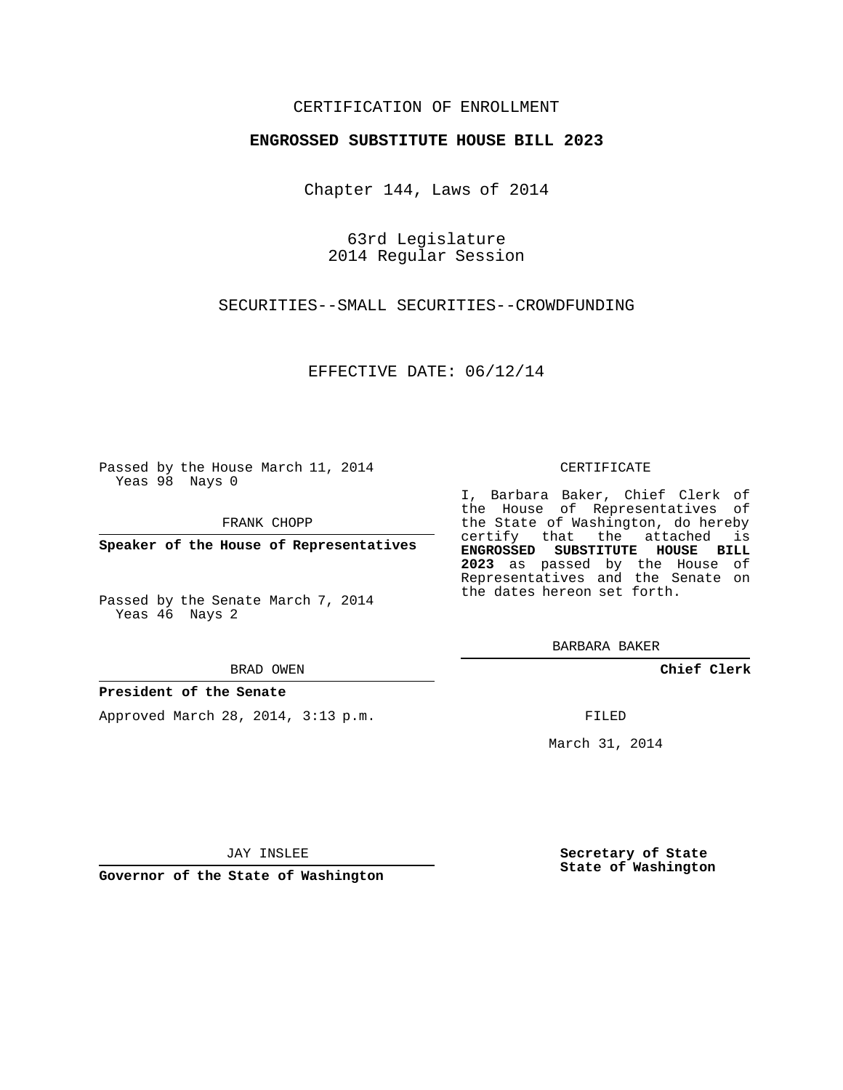## CERTIFICATION OF ENROLLMENT

## **ENGROSSED SUBSTITUTE HOUSE BILL 2023**

Chapter 144, Laws of 2014

63rd Legislature 2014 Regular Session

SECURITIES--SMALL SECURITIES--CROWDFUNDING

EFFECTIVE DATE: 06/12/14

Passed by the House March 11, 2014 Yeas 98 Nays 0

FRANK CHOPP

**Speaker of the House of Representatives**

Passed by the Senate March 7, 2014 Yeas 46 Nays 2

BRAD OWEN

## **President of the Senate**

Approved March 28, 2014, 3:13 p.m.

CERTIFICATE

I, Barbara Baker, Chief Clerk of the House of Representatives of the State of Washington, do hereby certify that the attached is **ENGROSSED SUBSTITUTE HOUSE BILL 2023** as passed by the House of Representatives and the Senate on the dates hereon set forth.

BARBARA BAKER

**Chief Clerk**

FILED

March 31, 2014

JAY INSLEE

**Governor of the State of Washington**

**Secretary of State State of Washington**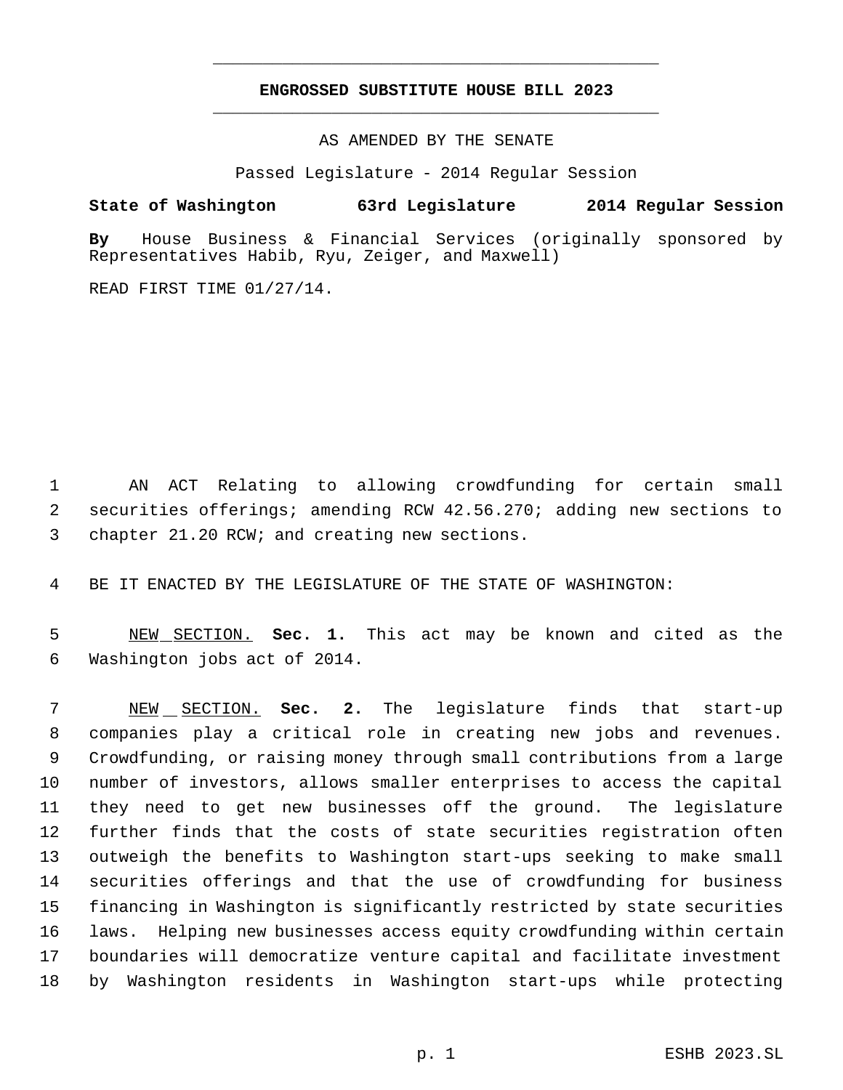## **ENGROSSED SUBSTITUTE HOUSE BILL 2023** \_\_\_\_\_\_\_\_\_\_\_\_\_\_\_\_\_\_\_\_\_\_\_\_\_\_\_\_\_\_\_\_\_\_\_\_\_\_\_\_\_\_\_\_\_

\_\_\_\_\_\_\_\_\_\_\_\_\_\_\_\_\_\_\_\_\_\_\_\_\_\_\_\_\_\_\_\_\_\_\_\_\_\_\_\_\_\_\_\_\_

AS AMENDED BY THE SENATE

Passed Legislature - 2014 Regular Session

**State of Washington 63rd Legislature 2014 Regular Session**

**By** House Business & Financial Services (originally sponsored by Representatives Habib, Ryu, Zeiger, and Maxwell)

READ FIRST TIME 01/27/14.

 AN ACT Relating to allowing crowdfunding for certain small securities offerings; amending RCW 42.56.270; adding new sections to chapter 21.20 RCW; and creating new sections.

BE IT ENACTED BY THE LEGISLATURE OF THE STATE OF WASHINGTON:

 NEW SECTION. **Sec. 1.** This act may be known and cited as the Washington jobs act of 2014.

 NEW SECTION. **Sec. 2.** The legislature finds that start-up companies play a critical role in creating new jobs and revenues. Crowdfunding, or raising money through small contributions from a large number of investors, allows smaller enterprises to access the capital they need to get new businesses off the ground. The legislature further finds that the costs of state securities registration often outweigh the benefits to Washington start-ups seeking to make small securities offerings and that the use of crowdfunding for business financing in Washington is significantly restricted by state securities laws. Helping new businesses access equity crowdfunding within certain boundaries will democratize venture capital and facilitate investment by Washington residents in Washington start-ups while protecting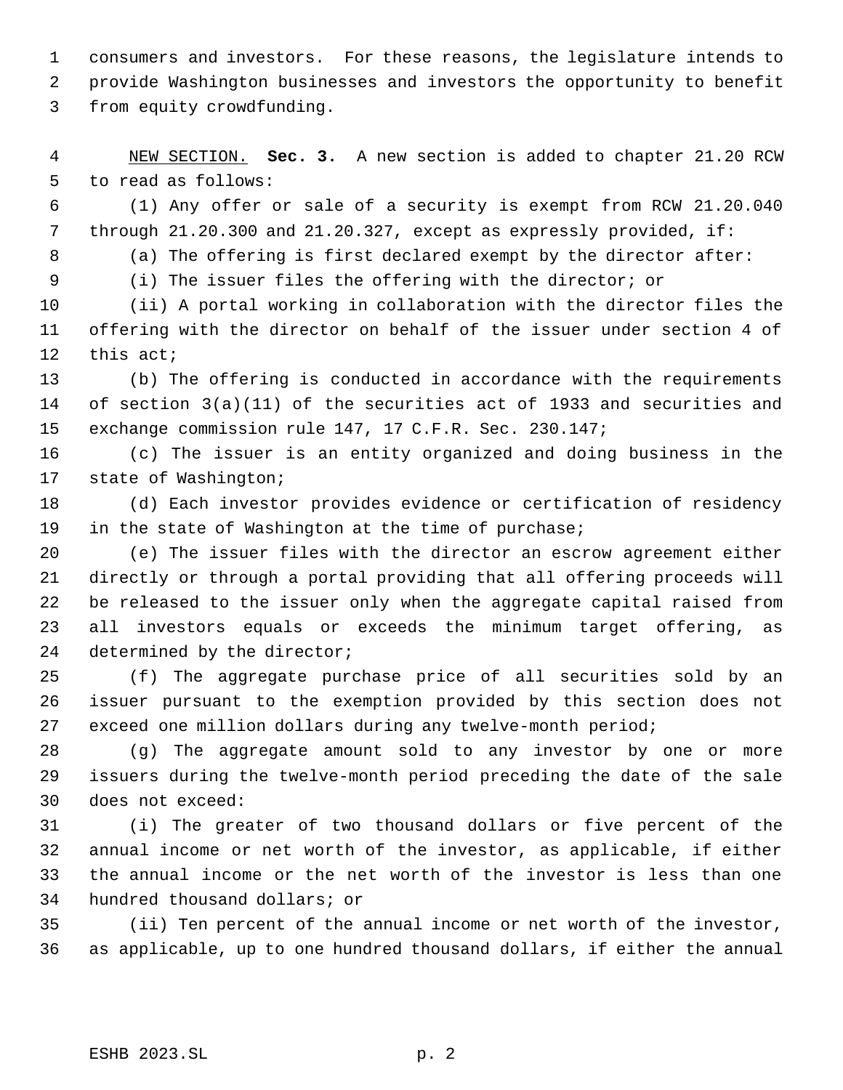consumers and investors. For these reasons, the legislature intends to provide Washington businesses and investors the opportunity to benefit from equity crowdfunding.

 NEW SECTION. **Sec. 3.** A new section is added to chapter 21.20 RCW to read as follows:

 (1) Any offer or sale of a security is exempt from RCW 21.20.040 through 21.20.300 and 21.20.327, except as expressly provided, if:

(a) The offering is first declared exempt by the director after:

(i) The issuer files the offering with the director; or

 (ii) A portal working in collaboration with the director files the offering with the director on behalf of the issuer under section 4 of 12 this act;

 (b) The offering is conducted in accordance with the requirements of section 3(a)(11) of the securities act of 1933 and securities and exchange commission rule 147, 17 C.F.R. Sec. 230.147;

 (c) The issuer is an entity organized and doing business in the state of Washington;

 (d) Each investor provides evidence or certification of residency in the state of Washington at the time of purchase;

 (e) The issuer files with the director an escrow agreement either directly or through a portal providing that all offering proceeds will be released to the issuer only when the aggregate capital raised from all investors equals or exceeds the minimum target offering, as 24 determined by the director;

 (f) The aggregate purchase price of all securities sold by an issuer pursuant to the exemption provided by this section does not exceed one million dollars during any twelve-month period;

 (g) The aggregate amount sold to any investor by one or more issuers during the twelve-month period preceding the date of the sale does not exceed:

 (i) The greater of two thousand dollars or five percent of the annual income or net worth of the investor, as applicable, if either the annual income or the net worth of the investor is less than one hundred thousand dollars; or

 (ii) Ten percent of the annual income or net worth of the investor, as applicable, up to one hundred thousand dollars, if either the annual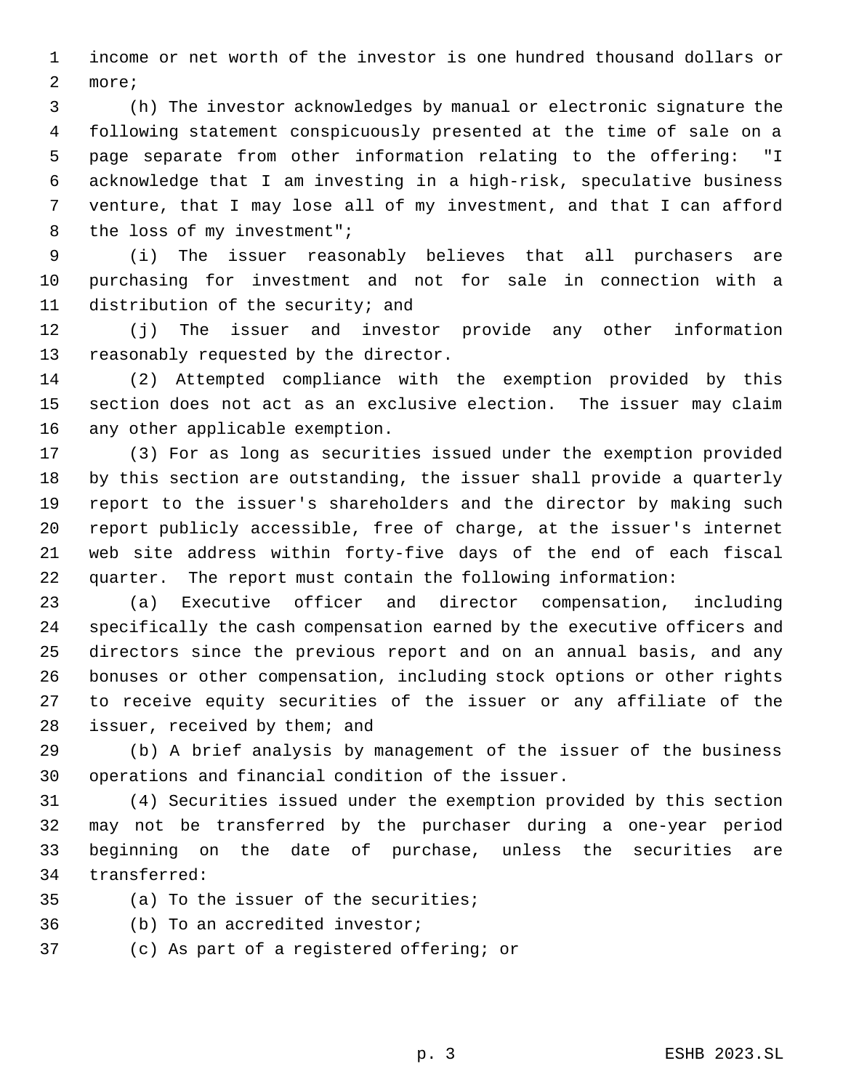income or net worth of the investor is one hundred thousand dollars or more;

 (h) The investor acknowledges by manual or electronic signature the following statement conspicuously presented at the time of sale on a page separate from other information relating to the offering: "I acknowledge that I am investing in a high-risk, speculative business venture, that I may lose all of my investment, and that I can afford 8 the loss of my investment";

 (i) The issuer reasonably believes that all purchasers are purchasing for investment and not for sale in connection with a distribution of the security; and

 (j) The issuer and investor provide any other information reasonably requested by the director.

 (2) Attempted compliance with the exemption provided by this section does not act as an exclusive election. The issuer may claim any other applicable exemption.

 (3) For as long as securities issued under the exemption provided by this section are outstanding, the issuer shall provide a quarterly report to the issuer's shareholders and the director by making such report publicly accessible, free of charge, at the issuer's internet web site address within forty-five days of the end of each fiscal quarter. The report must contain the following information:

 (a) Executive officer and director compensation, including specifically the cash compensation earned by the executive officers and directors since the previous report and on an annual basis, and any bonuses or other compensation, including stock options or other rights to receive equity securities of the issuer or any affiliate of the issuer, received by them; and

 (b) A brief analysis by management of the issuer of the business operations and financial condition of the issuer.

 (4) Securities issued under the exemption provided by this section may not be transferred by the purchaser during a one-year period beginning on the date of purchase, unless the securities are transferred:

- (a) To the issuer of the securities;
- (b) To an accredited investor;
- (c) As part of a registered offering; or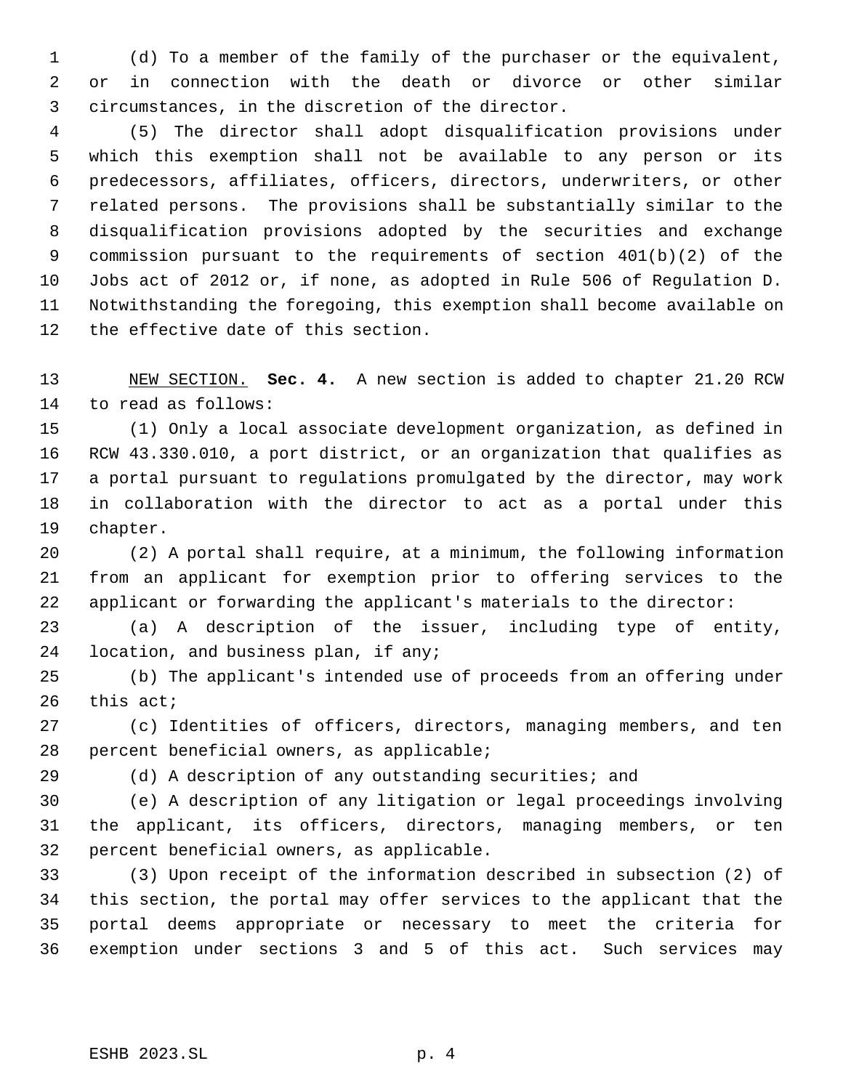(d) To a member of the family of the purchaser or the equivalent, or in connection with the death or divorce or other similar circumstances, in the discretion of the director.

 (5) The director shall adopt disqualification provisions under which this exemption shall not be available to any person or its predecessors, affiliates, officers, directors, underwriters, or other related persons. The provisions shall be substantially similar to the disqualification provisions adopted by the securities and exchange commission pursuant to the requirements of section 401(b)(2) of the Jobs act of 2012 or, if none, as adopted in Rule 506 of Regulation D. Notwithstanding the foregoing, this exemption shall become available on the effective date of this section.

 NEW SECTION. **Sec. 4.** A new section is added to chapter 21.20 RCW to read as follows:

 (1) Only a local associate development organization, as defined in RCW 43.330.010, a port district, or an organization that qualifies as a portal pursuant to regulations promulgated by the director, may work in collaboration with the director to act as a portal under this chapter.

 (2) A portal shall require, at a minimum, the following information from an applicant for exemption prior to offering services to the applicant or forwarding the applicant's materials to the director:

 (a) A description of the issuer, including type of entity, location, and business plan, if any;

 (b) The applicant's intended use of proceeds from an offering under this act;

 (c) Identities of officers, directors, managing members, and ten percent beneficial owners, as applicable;

(d) A description of any outstanding securities; and

 (e) A description of any litigation or legal proceedings involving the applicant, its officers, directors, managing members, or ten percent beneficial owners, as applicable.

 (3) Upon receipt of the information described in subsection (2) of this section, the portal may offer services to the applicant that the portal deems appropriate or necessary to meet the criteria for exemption under sections 3 and 5 of this act. Such services may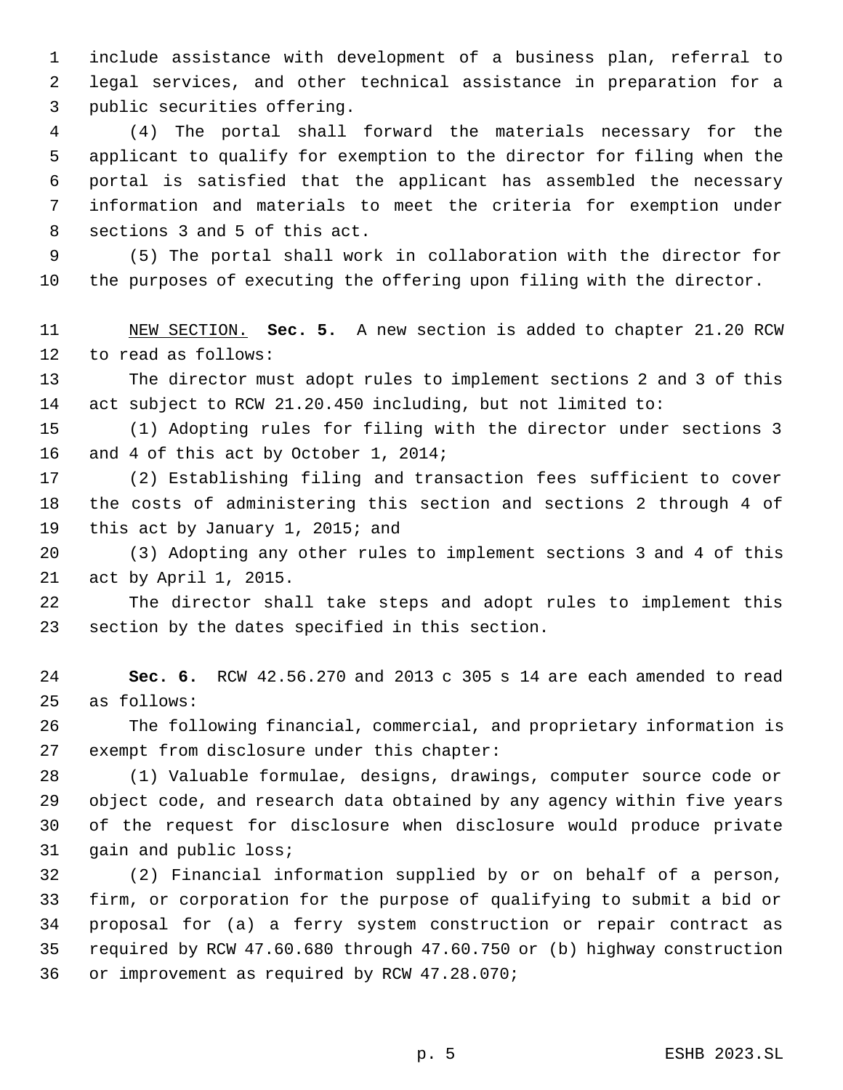include assistance with development of a business plan, referral to legal services, and other technical assistance in preparation for a public securities offering.

 (4) The portal shall forward the materials necessary for the applicant to qualify for exemption to the director for filing when the portal is satisfied that the applicant has assembled the necessary information and materials to meet the criteria for exemption under sections 3 and 5 of this act.

 (5) The portal shall work in collaboration with the director for the purposes of executing the offering upon filing with the director.

 NEW SECTION. **Sec. 5.** A new section is added to chapter 21.20 RCW to read as follows:

 The director must adopt rules to implement sections 2 and 3 of this act subject to RCW 21.20.450 including, but not limited to:

 (1) Adopting rules for filing with the director under sections 3 and 4 of this act by October 1, 2014;

 (2) Establishing filing and transaction fees sufficient to cover the costs of administering this section and sections 2 through 4 of this act by January 1, 2015; and

 (3) Adopting any other rules to implement sections 3 and 4 of this act by April 1, 2015.

 The director shall take steps and adopt rules to implement this section by the dates specified in this section.

 **Sec. 6.** RCW 42.56.270 and 2013 c 305 s 14 are each amended to read as follows:

 The following financial, commercial, and proprietary information is exempt from disclosure under this chapter:

 (1) Valuable formulae, designs, drawings, computer source code or object code, and research data obtained by any agency within five years of the request for disclosure when disclosure would produce private gain and public loss;

 (2) Financial information supplied by or on behalf of a person, firm, or corporation for the purpose of qualifying to submit a bid or proposal for (a) a ferry system construction or repair contract as required by RCW 47.60.680 through 47.60.750 or (b) highway construction or improvement as required by RCW 47.28.070;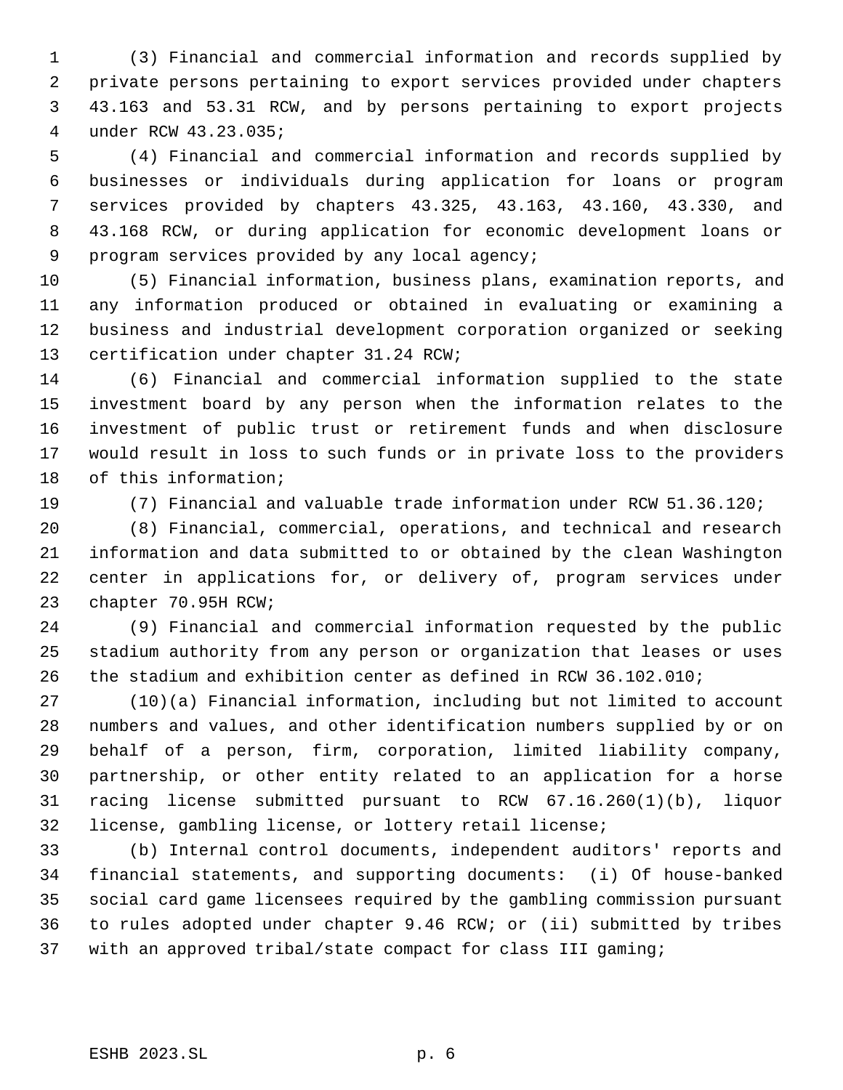(3) Financial and commercial information and records supplied by private persons pertaining to export services provided under chapters 43.163 and 53.31 RCW, and by persons pertaining to export projects under RCW 43.23.035;

 (4) Financial and commercial information and records supplied by businesses or individuals during application for loans or program services provided by chapters 43.325, 43.163, 43.160, 43.330, and 43.168 RCW, or during application for economic development loans or program services provided by any local agency;

 (5) Financial information, business plans, examination reports, and any information produced or obtained in evaluating or examining a business and industrial development corporation organized or seeking certification under chapter 31.24 RCW;

 (6) Financial and commercial information supplied to the state investment board by any person when the information relates to the investment of public trust or retirement funds and when disclosure would result in loss to such funds or in private loss to the providers of this information;

(7) Financial and valuable trade information under RCW 51.36.120;

 (8) Financial, commercial, operations, and technical and research information and data submitted to or obtained by the clean Washington center in applications for, or delivery of, program services under chapter 70.95H RCW;

 (9) Financial and commercial information requested by the public stadium authority from any person or organization that leases or uses the stadium and exhibition center as defined in RCW 36.102.010;

 (10)(a) Financial information, including but not limited to account numbers and values, and other identification numbers supplied by or on behalf of a person, firm, corporation, limited liability company, partnership, or other entity related to an application for a horse racing license submitted pursuant to RCW 67.16.260(1)(b), liquor license, gambling license, or lottery retail license;

 (b) Internal control documents, independent auditors' reports and financial statements, and supporting documents: (i) Of house-banked social card game licensees required by the gambling commission pursuant to rules adopted under chapter 9.46 RCW; or (ii) submitted by tribes with an approved tribal/state compact for class III gaming;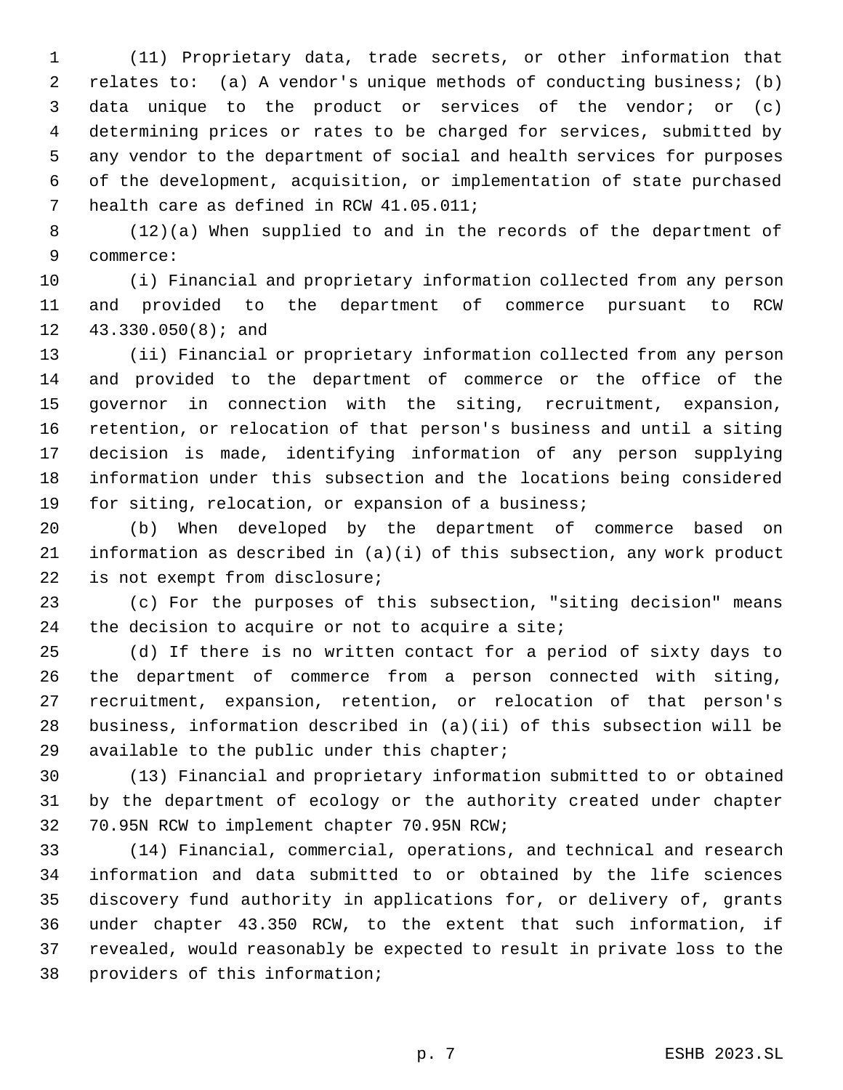(11) Proprietary data, trade secrets, or other information that relates to: (a) A vendor's unique methods of conducting business; (b) data unique to the product or services of the vendor; or (c) determining prices or rates to be charged for services, submitted by any vendor to the department of social and health services for purposes of the development, acquisition, or implementation of state purchased 7 health care as defined in RCW 41.05.011;

 (12)(a) When supplied to and in the records of the department of commerce:

 (i) Financial and proprietary information collected from any person and provided to the department of commerce pursuant to RCW 43.330.050(8); and

 (ii) Financial or proprietary information collected from any person and provided to the department of commerce or the office of the governor in connection with the siting, recruitment, expansion, retention, or relocation of that person's business and until a siting decision is made, identifying information of any person supplying information under this subsection and the locations being considered for siting, relocation, or expansion of a business;

 (b) When developed by the department of commerce based on information as described in (a)(i) of this subsection, any work product is not exempt from disclosure;

 (c) For the purposes of this subsection, "siting decision" means the decision to acquire or not to acquire a site;

 (d) If there is no written contact for a period of sixty days to the department of commerce from a person connected with siting, recruitment, expansion, retention, or relocation of that person's business, information described in (a)(ii) of this subsection will be available to the public under this chapter;

 (13) Financial and proprietary information submitted to or obtained by the department of ecology or the authority created under chapter 70.95N RCW to implement chapter 70.95N RCW;

 (14) Financial, commercial, operations, and technical and research information and data submitted to or obtained by the life sciences discovery fund authority in applications for, or delivery of, grants under chapter 43.350 RCW, to the extent that such information, if revealed, would reasonably be expected to result in private loss to the providers of this information;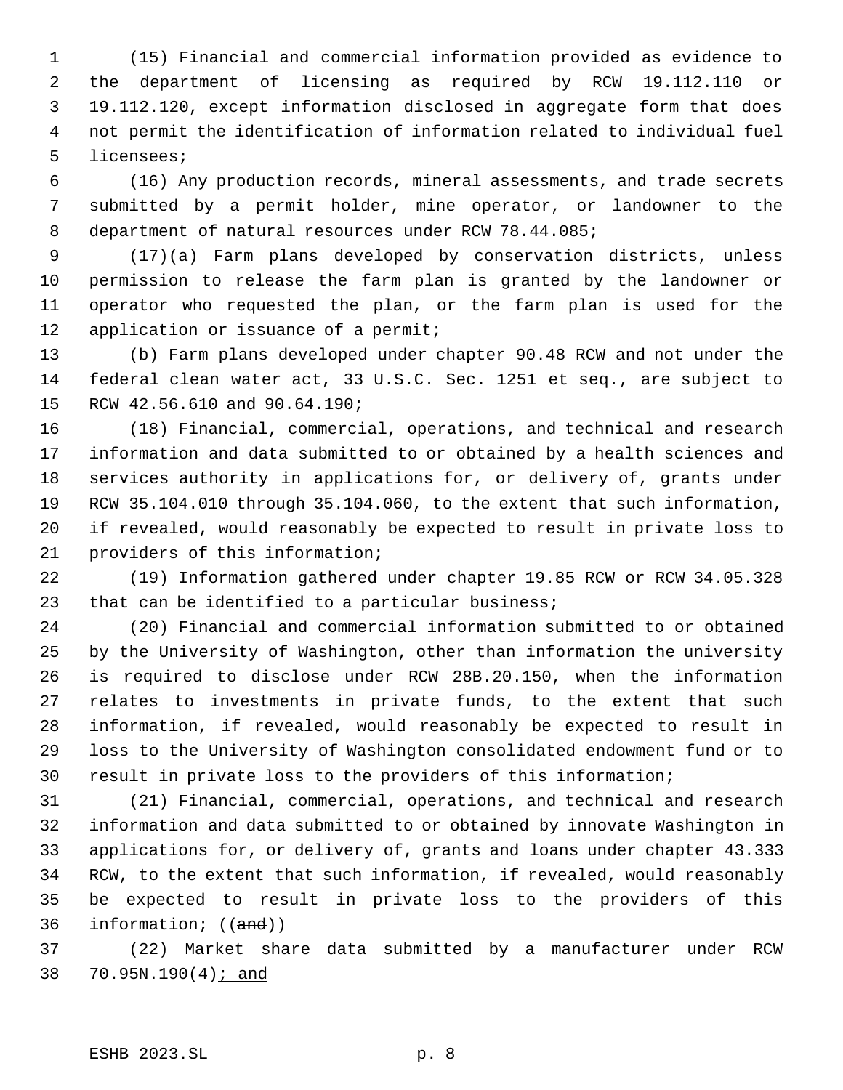(15) Financial and commercial information provided as evidence to the department of licensing as required by RCW 19.112.110 or 19.112.120, except information disclosed in aggregate form that does not permit the identification of information related to individual fuel licensees;

 (16) Any production records, mineral assessments, and trade secrets submitted by a permit holder, mine operator, or landowner to the department of natural resources under RCW 78.44.085;

 (17)(a) Farm plans developed by conservation districts, unless permission to release the farm plan is granted by the landowner or operator who requested the plan, or the farm plan is used for the 12 application or issuance of a permit;

 (b) Farm plans developed under chapter 90.48 RCW and not under the federal clean water act, 33 U.S.C. Sec. 1251 et seq., are subject to RCW 42.56.610 and 90.64.190;

 (18) Financial, commercial, operations, and technical and research information and data submitted to or obtained by a health sciences and services authority in applications for, or delivery of, grants under RCW 35.104.010 through 35.104.060, to the extent that such information, if revealed, would reasonably be expected to result in private loss to providers of this information;

 (19) Information gathered under chapter 19.85 RCW or RCW 34.05.328 that can be identified to a particular business;

 (20) Financial and commercial information submitted to or obtained by the University of Washington, other than information the university is required to disclose under RCW 28B.20.150, when the information relates to investments in private funds, to the extent that such information, if revealed, would reasonably be expected to result in loss to the University of Washington consolidated endowment fund or to result in private loss to the providers of this information;

 (21) Financial, commercial, operations, and technical and research information and data submitted to or obtained by innovate Washington in applications for, or delivery of, grants and loans under chapter 43.333 RCW, to the extent that such information, if revealed, would reasonably be expected to result in private loss to the providers of this information; ((and))

 (22) Market share data submitted by a manufacturer under RCW 38 70.95N.190(4) *j* and